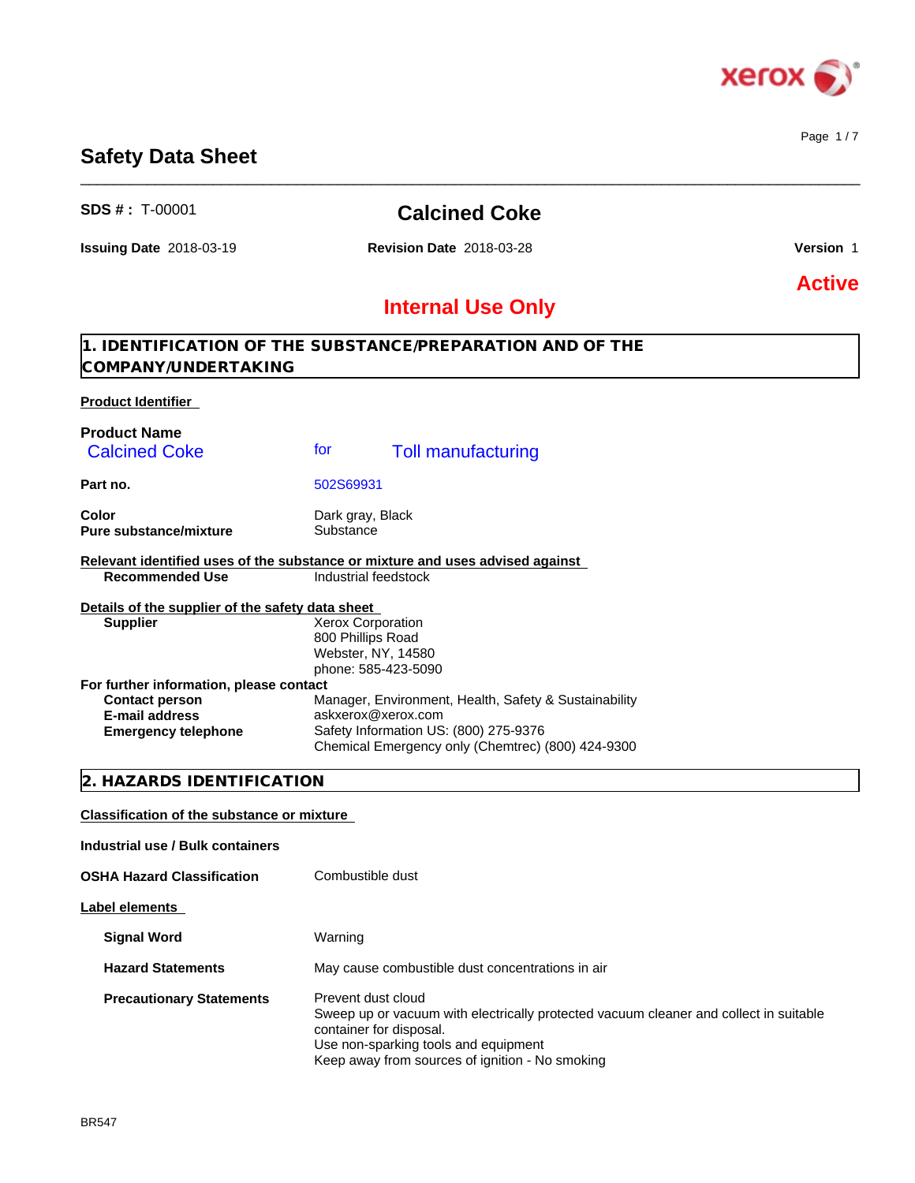

Page 1 / 7

## **Safety Data Sheet**

| <b>Issuing Date 2018-03-19</b>              |           | <b>Revision Date 2018-03-28</b>                           | Version 1     |
|---------------------------------------------|-----------|-----------------------------------------------------------|---------------|
|                                             |           |                                                           | <b>Active</b> |
|                                             |           | <b>Internal Use Only</b>                                  |               |
| COMPANY/UNDERTAKING                         |           | 1. IDENTIFICATION OF THE SUBSTANCE/PREPARATION AND OF THE |               |
| <b>Product Identifier</b>                   |           |                                                           |               |
| <b>Product Name</b><br><b>Calcined Coke</b> | for       | <b>Toll manufacturing</b>                                 |               |
| Part no.                                    | 502S69931 |                                                           |               |
|                                             |           |                                                           |               |

 $\_$  ,  $\_$  ,  $\_$  ,  $\_$  ,  $\_$  ,  $\_$  ,  $\_$  ,  $\_$  ,  $\_$  ,  $\_$  ,  $\_$  ,  $\_$  ,  $\_$  ,  $\_$  ,  $\_$  ,  $\_$  ,  $\_$  ,  $\_$  ,  $\_$  ,  $\_$  ,  $\_$  ,  $\_$  ,  $\_$  ,  $\_$  ,  $\_$  ,  $\_$  ,  $\_$  ,  $\_$  ,  $\_$  ,  $\_$  ,  $\_$  ,  $\_$  ,  $\_$  ,  $\_$  ,  $\_$  ,  $\_$  ,  $\_$  ,

**Color** Dark gray, Black<br> **Pure substance/mixture** Substance **Pure substance/mixture** 

**Relevant identified uses of the substance or mixture and uses advised against Recommended Use** 

**SDS # :** T-00001 **Calcined Coke**

**Details of the supplier of the safety data sheet For further information, please contact Supplier** Xerox Corporation 800 Phillips Road Webster, NY, 14580 phone: 585-423-5090

| -or further imformation, please contact |                                                       |
|-----------------------------------------|-------------------------------------------------------|
| <b>Contact person</b>                   | Manager, Environment, Health, Safety & Sustainability |
| E-mail address                          | askxerox@xerox.com                                    |
| <b>Emergency telephone</b>              | Safety Information US: (800) 275-9376                 |
|                                         | Chemical Emergency only (Chemtrec) (800) 424-9300     |

## **2. HAZARDS IDENTIFICATION**

### **Classification of the substance or mixture**

| Industrial use / Bulk containers  |                                                                                                                                                                                                                                   |
|-----------------------------------|-----------------------------------------------------------------------------------------------------------------------------------------------------------------------------------------------------------------------------------|
| <b>OSHA Hazard Classification</b> | Combustible dust                                                                                                                                                                                                                  |
| Label elements                    |                                                                                                                                                                                                                                   |
| <b>Signal Word</b>                | Warning                                                                                                                                                                                                                           |
| <b>Hazard Statements</b>          | May cause combustible dust concentrations in air                                                                                                                                                                                  |
| <b>Precautionary Statements</b>   | Prevent dust cloud<br>Sweep up or vacuum with electrically protected vacuum cleaner and collect in suitable<br>container for disposal.<br>Use non-sparking tools and equipment<br>Keep away from sources of ignition - No smoking |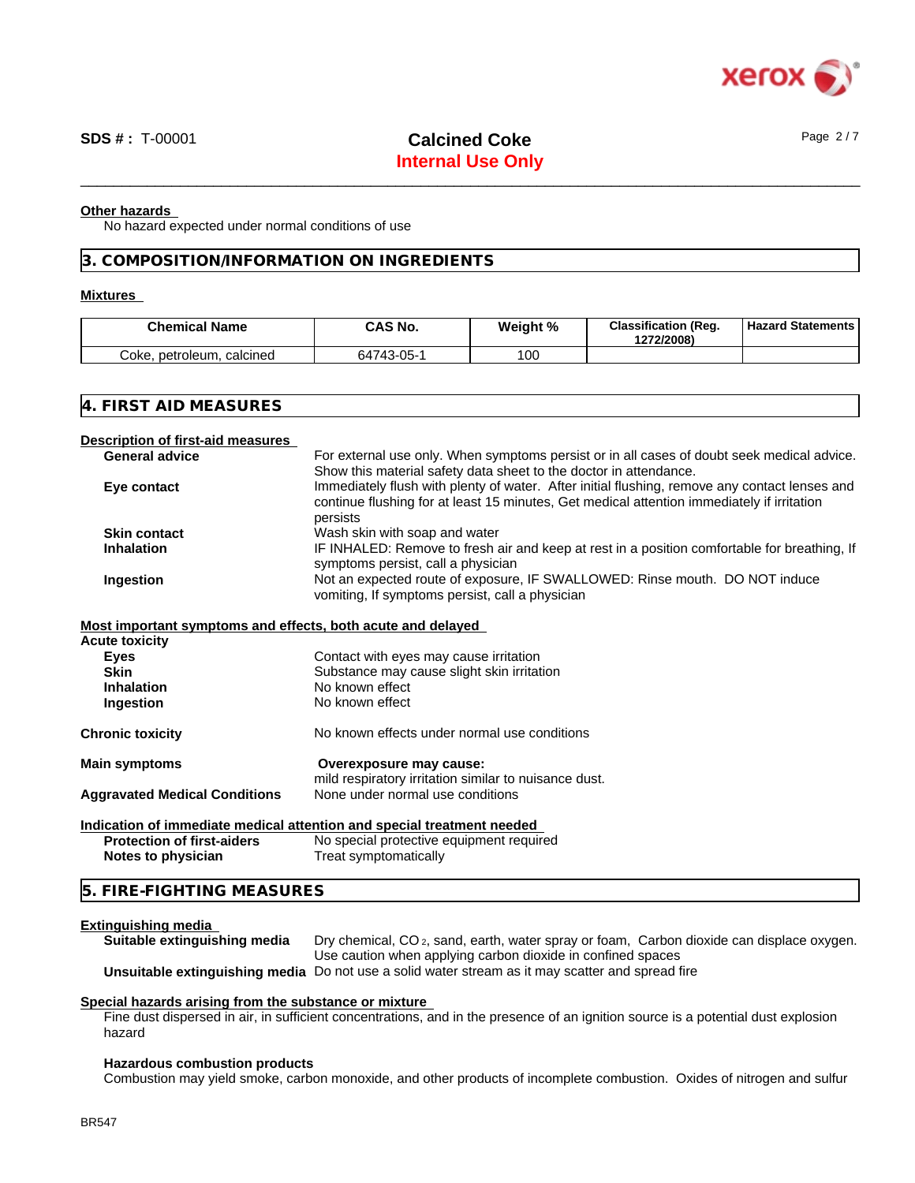

## **Internal Use Only** \_\_\_\_\_\_\_\_\_\_\_\_\_\_\_\_\_\_\_\_\_\_\_\_\_\_\_\_\_\_\_\_\_\_\_\_\_\_\_\_\_\_\_\_\_\_\_\_\_\_\_\_\_\_\_\_\_\_\_\_\_\_\_\_\_\_\_\_\_\_\_\_\_\_\_\_\_\_\_\_\_\_\_\_\_\_\_\_\_\_\_\_\_\_ **SDS # :** T-00001 **Calcined Coke** Page 2 / 7

### **Other hazards**

No hazard expected under normal conditions of use

## **3. COMPOSITION/INFORMATION ON INGREDIENTS**

### **Mixtures**

| <b>Chemical Name</b>              | CAS No.    | Weight %  | <b>Classification (Reg.</b><br>1272/2008) | ' Hazard Statements i |
|-----------------------------------|------------|-----------|-------------------------------------------|-----------------------|
| Coke,<br>calcined<br>. petroleum. | 64743-05-1 | م ہ<br>υu |                                           |                       |

| 4. FIRST AID MEASURES                                       |                                                                                                                                                                                                         |
|-------------------------------------------------------------|---------------------------------------------------------------------------------------------------------------------------------------------------------------------------------------------------------|
| Description of first-aid measures                           |                                                                                                                                                                                                         |
| <b>General advice</b>                                       | For external use only. When symptoms persist or in all cases of doubt seek medical advice.<br>Show this material safety data sheet to the doctor in attendance.                                         |
| Eye contact                                                 | Immediately flush with plenty of water. After initial flushing, remove any contact lenses and<br>continue flushing for at least 15 minutes, Get medical attention immediately if irritation<br>persists |
| <b>Skin contact</b>                                         | Wash skin with soap and water                                                                                                                                                                           |
| <b>Inhalation</b>                                           | IF INHALED: Remove to fresh air and keep at rest in a position comfortable for breathing, If<br>symptoms persist, call a physician                                                                      |
| Ingestion                                                   | Not an expected route of exposure, IF SWALLOWED: Rinse mouth. DO NOT induce<br>vomiting, If symptoms persist, call a physician                                                                          |
| Most important symptoms and effects, both acute and delayed |                                                                                                                                                                                                         |
| <b>Acute toxicity</b>                                       |                                                                                                                                                                                                         |
| <b>Eyes</b>                                                 | Contact with eyes may cause irritation                                                                                                                                                                  |
| <b>Skin</b>                                                 | Substance may cause slight skin irritation                                                                                                                                                              |
| <b>Inhalation</b>                                           | No known effect                                                                                                                                                                                         |
| Ingestion                                                   | No known effect                                                                                                                                                                                         |
| <b>Chronic toxicity</b>                                     | No known effects under normal use conditions                                                                                                                                                            |
| <b>Main symptoms</b>                                        | Overexposure may cause:<br>mild respiratory irritation similar to nuisance dust.                                                                                                                        |
| <b>Aggravated Medical Conditions</b>                        | None under normal use conditions                                                                                                                                                                        |
|                                                             | Indication of immediate medical attention and special treatment needed                                                                                                                                  |
| <b>Protection of first-aiders</b>                           | No special protective equipment required                                                                                                                                                                |
| Notes to physician                                          | Treat symptomatically                                                                                                                                                                                   |

#### **Extinguishing media**

| Suitable extinguishing media | Dry chemical, CO <sub>2</sub> , sand, earth, water spray or foam, Carbon dioxide can displace oxygen. |
|------------------------------|-------------------------------------------------------------------------------------------------------|
|                              | Use caution when applying carbon dioxide in confined spaces                                           |
|                              | Unsuitable extinguishing media Do not use a solid water stream as it may scatter and spread fire      |

## **Special hazards arising from the substance or mixture**

Fine dust dispersed in air, in sufficient concentrations, and in the presence of an ignition source is a potential dust explosion hazard

### **Hazardous combustion products**

Combustion may yield smoke, carbon monoxide, and other products of incomplete combustion. Oxides of nitrogen and sulfur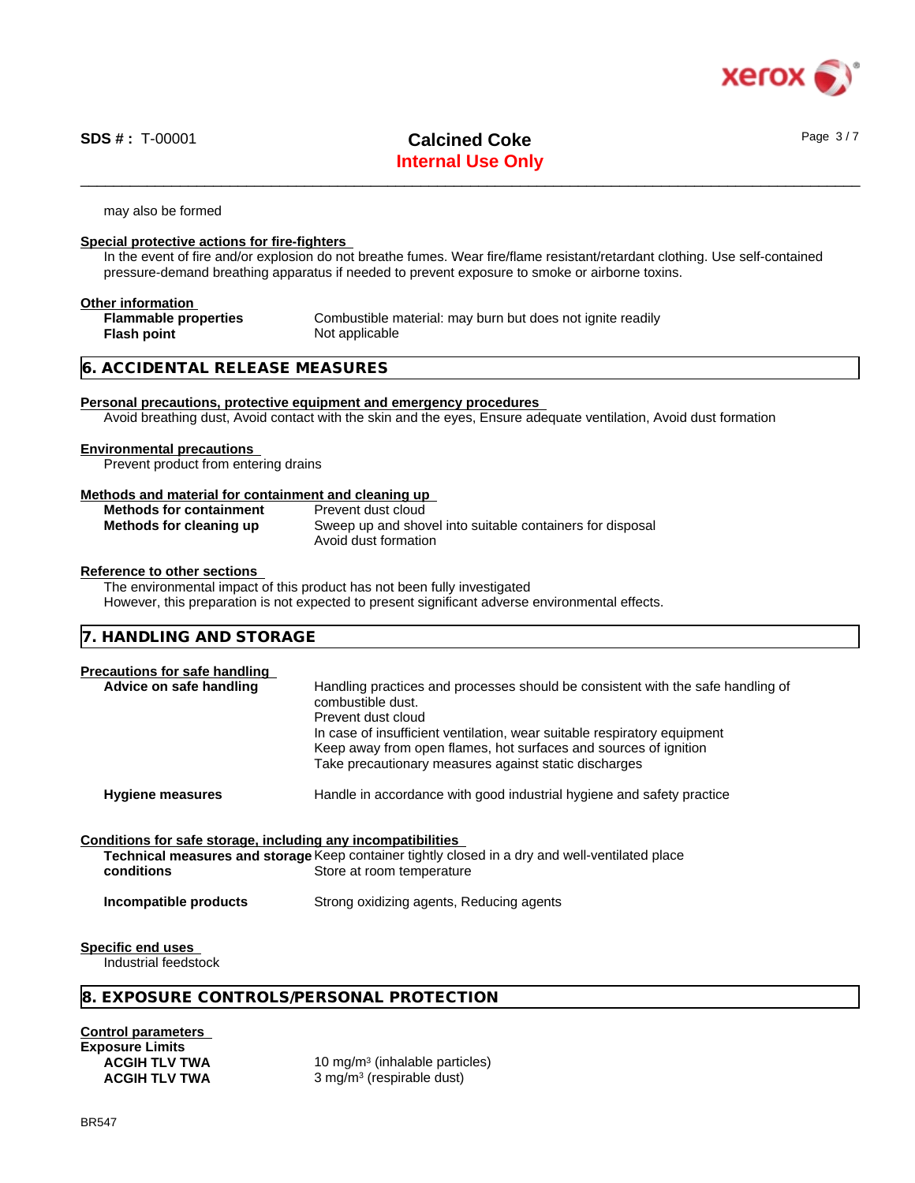

## **Internal Use Only** \_\_\_\_\_\_\_\_\_\_\_\_\_\_\_\_\_\_\_\_\_\_\_\_\_\_\_\_\_\_\_\_\_\_\_\_\_\_\_\_\_\_\_\_\_\_\_\_\_\_\_\_\_\_\_\_\_\_\_\_\_\_\_\_\_\_\_\_\_\_\_\_\_\_\_\_\_\_\_\_\_\_\_\_\_\_\_\_\_\_\_\_\_\_ **SDS # :** T-00001 **Calcined Coke** Page 3 / 7

may also be formed

### **Special protective actions for fire-fighters**

In the event of fire and/or explosion do not breathe fumes. Wear fire/flame resistant/retardant clothing. Use self-contained pressure-demand breathing apparatus if needed to prevent exposure to smoke or airborne toxins.

### **Other information**

**Flash point** Not applicable

**Flammable properties** Combustible material: may burn but does not ignite readily

## **6. ACCIDENTAL RELEASE MEASURES**

### **Personal precautions, protective equipment and emergency procedures**

Avoid breathing dust, Avoid contact with the skin and the eyes, Ensure adequate ventilation, Avoid dust formation

### **Environmental precautions**

Prevent product from entering drains

### **Methods and material for containment and cleaning up**

| <b>Methods for containment</b> | Prevent dust cloud                                                                |
|--------------------------------|-----------------------------------------------------------------------------------|
| Methods for cleaning up        | Sweep up and shovel into suitable containers for disposal<br>Avoid dust formation |

### **Reference to other sections**

The environmental impact of this product has not been fully investigated However, this preparation is not expected to present significant adverse environmental effects.

### **7. HANDLING AND STORAGE**

| Precautions for safe handling<br>Advice on safe handling                   | Handling practices and processes should be consistent with the safe handling of<br>combustible dust.<br>Prevent dust cloud<br>In case of insufficient ventilation, wear suitable respiratory equipment<br>Keep away from open flames, hot surfaces and sources of ignition<br>Take precautionary measures against static discharges |  |
|----------------------------------------------------------------------------|-------------------------------------------------------------------------------------------------------------------------------------------------------------------------------------------------------------------------------------------------------------------------------------------------------------------------------------|--|
| <b>Hygiene measures</b>                                                    | Handle in accordance with good industrial hygiene and safety practice                                                                                                                                                                                                                                                               |  |
| Conditions for safe storage, including any incompatibilities<br>conditions | Technical measures and storage Keep container tightly closed in a dry and well-ventilated place<br>Store at room temperature                                                                                                                                                                                                        |  |
| Incompatible products                                                      | Strong oxidizing agents, Reducing agents                                                                                                                                                                                                                                                                                            |  |
| Specific end uses                                                          |                                                                                                                                                                                                                                                                                                                                     |  |

Industrial feedstock

## **8. EXPOSURE CONTROLS/PERSONAL PROTECTION**

**Control parameters Exposure Limits**

**ACGIH TLV TWA** 10 mg/m<sup>3</sup> (inhalable particles) **ACGIH TLV TWA** 3 mg/m<sup>3</sup> (respirable dust)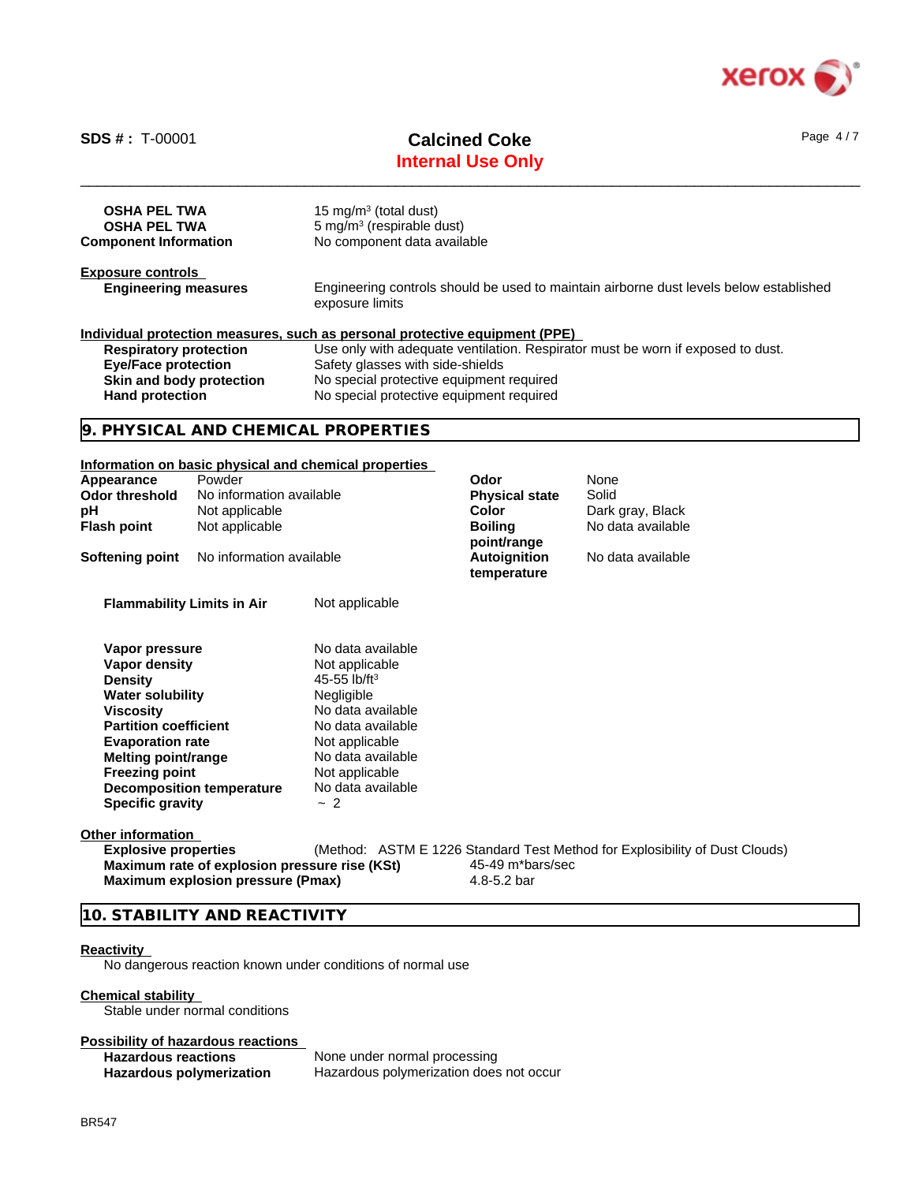

# **Internal Use Only** \_\_\_\_\_\_\_\_\_\_\_\_\_\_\_\_\_\_\_\_\_\_\_\_\_\_\_\_\_\_\_\_\_\_\_\_\_\_\_\_\_\_\_\_\_\_\_\_\_\_\_\_\_\_\_\_\_\_\_\_\_\_\_\_\_\_\_\_\_\_\_\_\_\_\_\_\_\_\_\_\_\_\_\_\_\_\_\_\_\_\_\_\_\_ **SDS # :** T-00001 **Calcined Coke** Page 4 / 7

| <b>OSHA PEL TWA</b>           | 15 mg/m $3$ (total dust)                                                                                  |
|-------------------------------|-----------------------------------------------------------------------------------------------------------|
| <b>OSHA PEL TWA</b>           | $5 \text{ mg/m}^3$ (respirable dust)                                                                      |
| <b>Component Information</b>  | No component data available                                                                               |
| <b>Exposure controls</b>      |                                                                                                           |
| <b>Engineering measures</b>   | Engineering controls should be used to maintain airborne dust levels below established<br>exposure limits |
|                               | Individual protection measures, such as personal protective equipment (PPE)                               |
| <b>Respiratory protection</b> | Use only with adequate ventilation. Respirator must be worn if exposed to dust.                           |
| <b>Eye/Face protection</b>    | Safety glasses with side-shields                                                                          |
| Skin and body protection      | No special protective equipment required                                                                  |
| <b>Hand protection</b>        | No special protective equipment required                                                                  |
|                               |                                                                                                           |

## **9. PHYSICAL AND CHEMICAL PROPERTIES**

| Appearance<br>Odor threshold<br>pH<br><b>Flash point</b><br><b>Softening point</b>                                                                                                                                                            | Information on basic physical and chemical properties<br>Powder<br>No information available<br>Not applicable<br>Not applicable<br>No information available |                                                                                                                                                                                                             | Odor<br><b>Physical state</b><br>Color<br><b>Boiling</b><br>point/range<br>Autoignition<br>temperature | <b>None</b><br>Solid<br>Dark gray, Black<br>No data available<br>No data available |
|-----------------------------------------------------------------------------------------------------------------------------------------------------------------------------------------------------------------------------------------------|-------------------------------------------------------------------------------------------------------------------------------------------------------------|-------------------------------------------------------------------------------------------------------------------------------------------------------------------------------------------------------------|--------------------------------------------------------------------------------------------------------|------------------------------------------------------------------------------------|
| <b>Flammability Limits in Air</b>                                                                                                                                                                                                             |                                                                                                                                                             | Not applicable                                                                                                                                                                                              |                                                                                                        |                                                                                    |
| Vapor pressure<br>Vapor density<br><b>Density</b><br><b>Water solubility</b><br><b>Viscosity</b><br><b>Partition coefficient</b><br><b>Evaporation rate</b><br><b>Melting point/range</b><br><b>Freezing point</b><br><b>Specific gravity</b> | <b>Decomposition temperature</b>                                                                                                                            | No data available<br>Not applicable<br>45-55 lb/ft <sup>3</sup><br>Negligible<br>No data available<br>No data available<br>Not applicable<br>No data available<br>Not applicable<br>No data available<br>~2 |                                                                                                        |                                                                                    |
| Other information<br><b>Explosive properties</b>                                                                                                                                                                                              | Maximum rate of explosion pressure rise (KSt)<br><b>Maximum explosion pressure (Pmax)</b>                                                                   |                                                                                                                                                                                                             | 45-49 m*bars/sec<br>4.8-5.2 bar                                                                        | (Method: ASTM E 1226 Standard Test Method for Explosibility of Dust Clouds)        |

## **10. STABILITY AND REACTIVITY**

## **Reactivity**

No dangerous reaction known under conditions of normal use

### **Chemical stability**

Stable under normal conditions

### **Possibility of hazardous reactions**

Hazardous reactions **None under normal processing Hazardous polymerization** Hazardous polymerization does not occur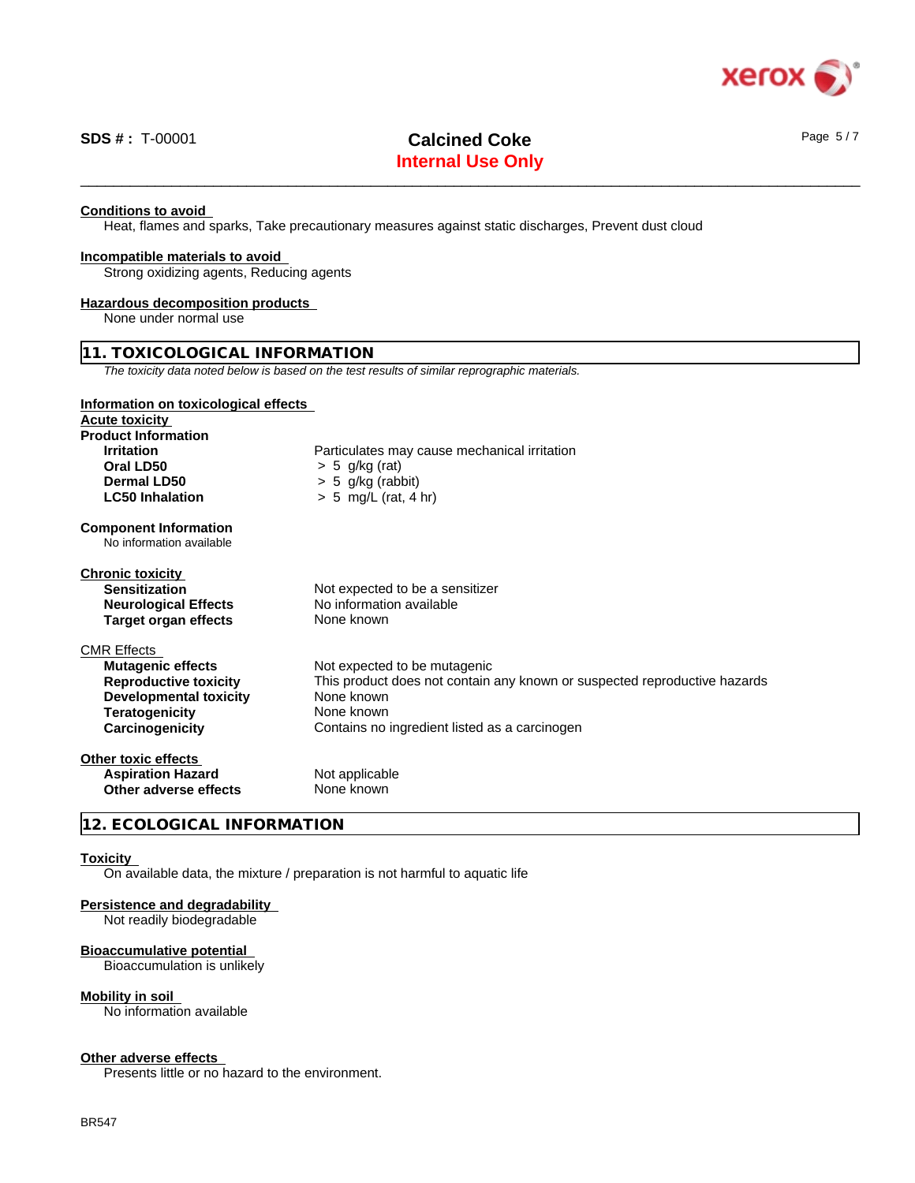

# **Internal Use Only** \_\_\_\_\_\_\_\_\_\_\_\_\_\_\_\_\_\_\_\_\_\_\_\_\_\_\_\_\_\_\_\_\_\_\_\_\_\_\_\_\_\_\_\_\_\_\_\_\_\_\_\_\_\_\_\_\_\_\_\_\_\_\_\_\_\_\_\_\_\_\_\_\_\_\_\_\_\_\_\_\_\_\_\_\_\_\_\_\_\_\_\_\_\_ **SDS # :** T-00001 **Calcined Coke** Page 5 / 7

### **Conditions to avoid**

Heat, flames and sparks, Take precautionary measures against static discharges, Prevent dust cloud

### **Incompatible materials to avoid**

Strong oxidizing agents, Reducing agents

### **Hazardous decomposition products**

None under normal use

## **11. TOXICOLOGICAL INFORMATION**

*The toxicity data noted below is based on the test results of similar reprographic materials.*

| Information on toxicological effects                     |                                                                           |
|----------------------------------------------------------|---------------------------------------------------------------------------|
| <b>Acute toxicity</b>                                    |                                                                           |
| <b>Product Information</b>                               |                                                                           |
| <b>Irritation</b>                                        | Particulates may cause mechanical irritation                              |
| Oral LD50                                                | $> 5$ g/kg (rat)                                                          |
| <b>Dermal LD50</b>                                       | $> 5$ g/kg (rabbit)                                                       |
| <b>LC50 Inhalation</b>                                   | $> 5$ mg/L (rat, 4 hr)                                                    |
| <b>Component Information</b><br>No information available |                                                                           |
|                                                          |                                                                           |
| <b>Chronic toxicity</b>                                  |                                                                           |
| <b>Sensitization</b>                                     | Not expected to be a sensitizer                                           |
| <b>Neurological Effects</b>                              | No information available                                                  |
| Target organ effects                                     | None known                                                                |
| <b>CMR Effects</b>                                       |                                                                           |
| <b>Mutagenic effects</b>                                 | Not expected to be mutagenic                                              |
| <b>Reproductive toxicity</b>                             | This product does not contain any known or suspected reproductive hazards |
| Developmental toxicity                                   | None known                                                                |
| <b>Teratogenicity</b>                                    | None known                                                                |
| Carcinogenicity                                          | Contains no ingredient listed as a carcinogen                             |
| Other toxic effects                                      |                                                                           |
| <b>Aspiration Hazard</b>                                 | Not applicable                                                            |
| Other adverse effects                                    | None known                                                                |

## **12. ECOLOGICAL INFORMATION**

#### **Toxicity**

On available data, the mixture / preparation is not harmful to aquatic life

#### **Persistence and degradability**

Not readily biodegradable

### **Bioaccumulative potential**

Bioaccumulation is unlikely

#### **Mobility in soil**

No information available

## **Other adverse effects**

Presents little or no hazard to the environment.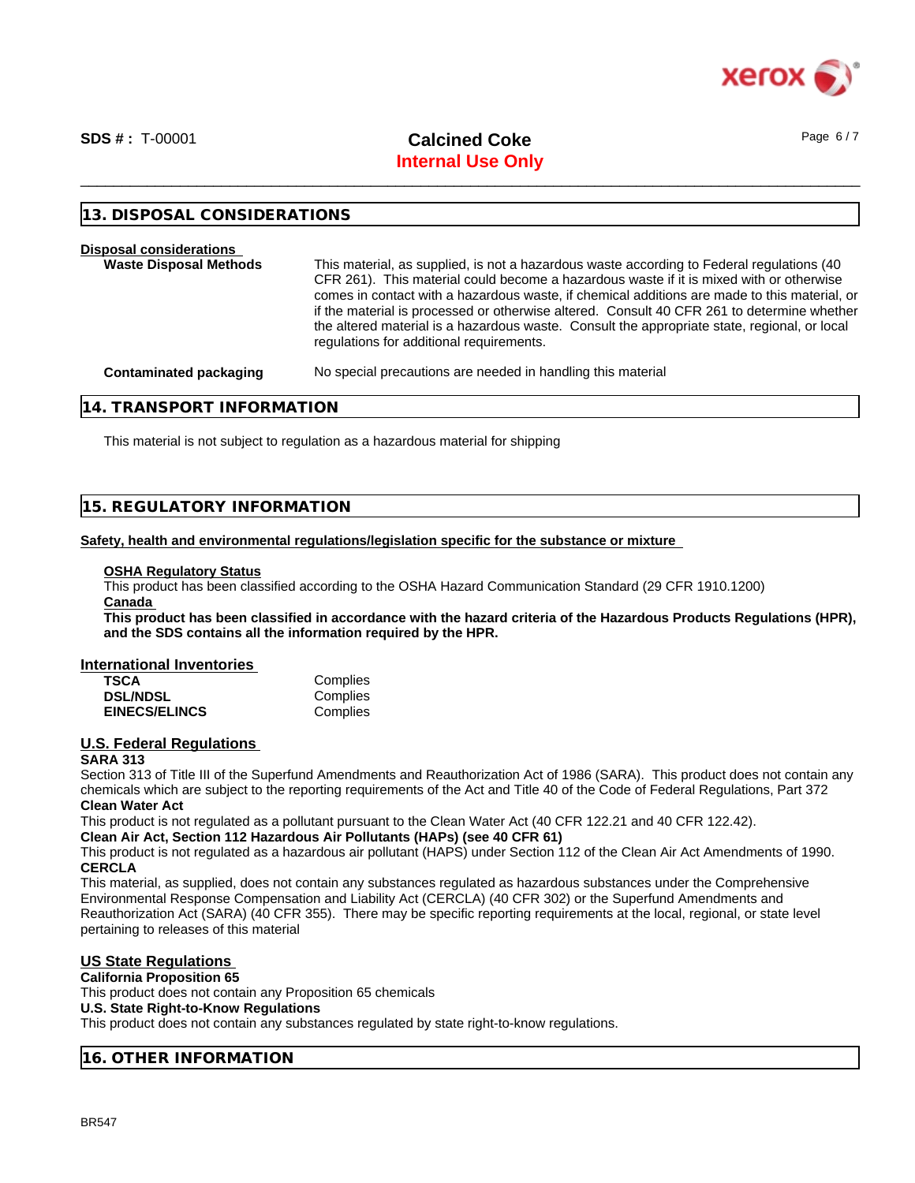

## **13. DISPOSAL CONSIDERATIONS**

## **Disposal considerations**

**Waste Disposal Methods** This material, as supplied, is not a hazardous waste according to Federal regulations (40 CFR 261). This material could become a hazardous waste if it is mixed with or otherwise comes in contact with a hazardous waste, if chemical additions are made to this material, or if the material is processed or otherwise altered. Consult 40 CFR 261 to determine whether the altered material is a hazardous waste. Consult the appropriate state, regional, or local regulations for additional requirements.

| Contaminated packaging | No special precautions are needed in handling this material |
|------------------------|-------------------------------------------------------------|
|------------------------|-------------------------------------------------------------|

## **14. TRANSPORT INFORMATION**

This material is not subject to regulation as a hazardous material for shipping

## **15. REGULATORY INFORMATION**

**Safety, health and environmental regulations/legislation specific for the substance or mixture**

### **OSHA Regulatory Status**

This product has been classified according to the OSHA Hazard Communication Standard (29 CFR 1910.1200) **Canada** 

This product has been classified in accordance with the hazard criteria of the Hazardous Products Regulations (HPR), **and the SDS contains all the information required by the HPR.**

### **International Inventories**

| <b>TSCA</b>          | Complies |
|----------------------|----------|
| <b>DSL/NDSL</b>      | Complies |
| <b>EINECS/ELINCS</b> | Complies |

## **U.S. Federal Regulations**

## **SARA 313**

Section 313 of Title III of the Superfund Amendments and Reauthorization Act of 1986 (SARA). This product does not contain any chemicals which are subject to the reporting requirements of the Act and Title 40 of the Code of Federal Regulations, Part 372 **Clean Water Act**

This product is not regulated as a pollutant pursuant to the Clean Water Act (40 CFR 122.21 and 40 CFR 122.42).

**Clean Air Act,Section 112 Hazardous Air Pollutants (HAPs) (see 40 CFR 61)**

This product is not regulated as a hazardous air pollutant (HAPS) under Section 112 of the Clean Air Act Amendments of 1990. **CERCLA**

This material, as supplied, does not contain any substances regulated as hazardous substances under the Comprehensive Environmental Response Compensation and Liability Act (CERCLA) (40 CFR 302) or the Superfund Amendments and Reauthorization Act (SARA) (40 CFR 355). There may be specific reporting requirements at the local, regional, or state level pertaining to releases of this material

## **US State Regulations**

**California Proposition 65**

This product does not contain any Proposition 65 chemicals

### **U.S. State Right-to-Know Regulations**

This product does not contain any substances regulated by state right-to-know regulations.

### **16. OTHER INFORMATION**